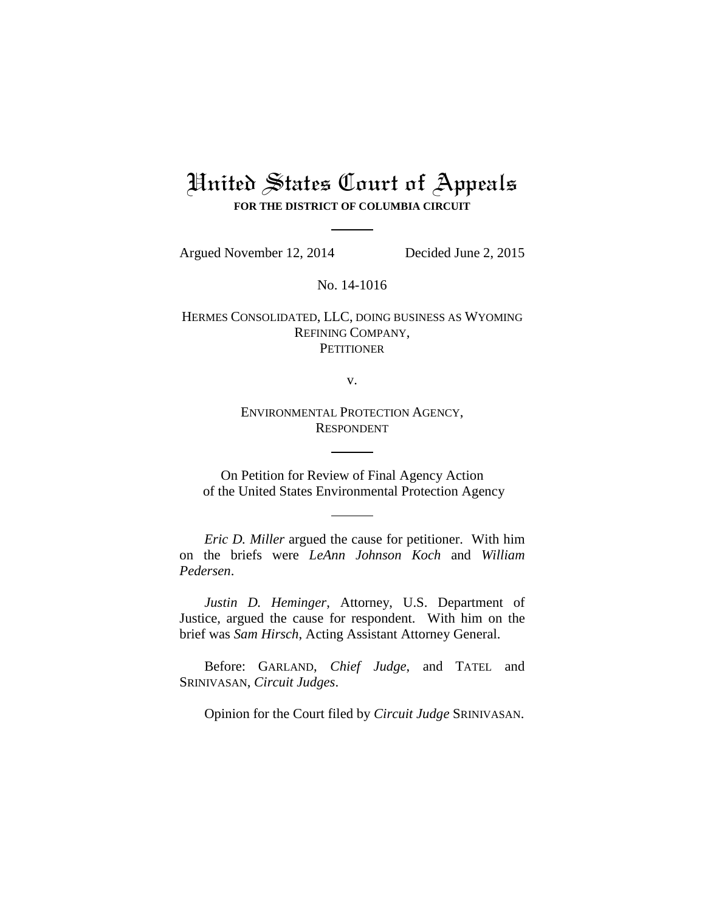# United States Court of Appeals **FOR THE DISTRICT OF COLUMBIA CIRCUIT**

Argued November 12, 2014 Decided June 2, 2015

No. 14-1016

HERMES CONSOLIDATED, LLC, DOING BUSINESS AS WYOMING REFINING COMPANY, **PETITIONER** 

v.

ENVIRONMENTAL PROTECTION AGENCY, RESPONDENT

On Petition for Review of Final Agency Action of the United States Environmental Protection Agency

*Eric D. Miller* argued the cause for petitioner. With him on the briefs were *LeAnn Johnson Koch* and *William Pedersen*.

*Justin D. Heminger*, Attorney, U.S. Department of Justice, argued the cause for respondent. With him on the brief was *Sam Hirsch*, Acting Assistant Attorney General.

Before: GARLAND, *Chief Judge*, and TATEL and SRINIVASAN, *Circuit Judges*.

Opinion for the Court filed by *Circuit Judge* SRINIVASAN.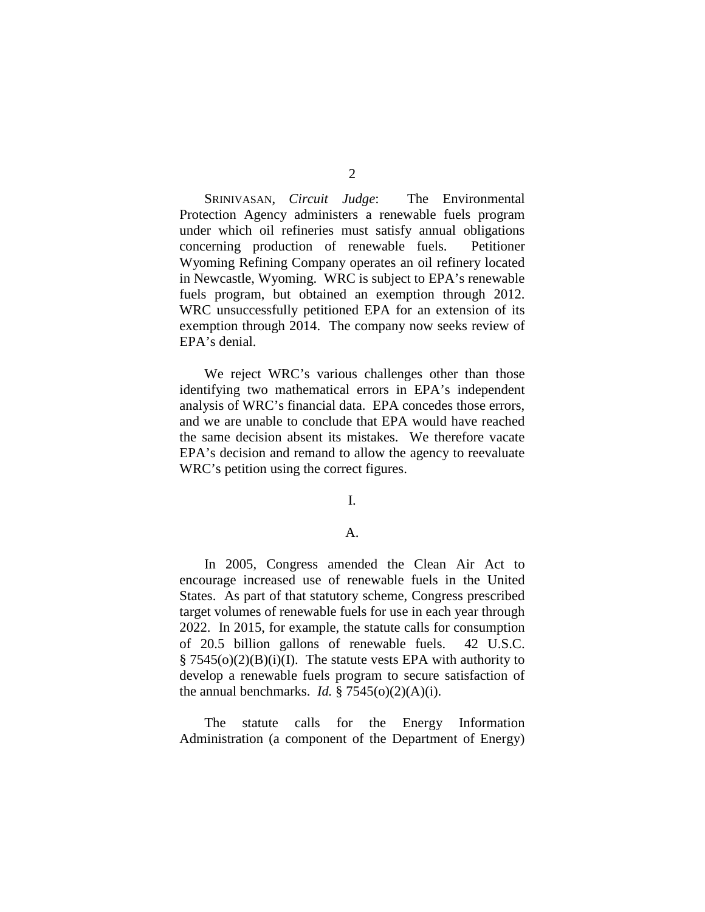SRINIVASAN, *Circuit Judge*: The Environmental Protection Agency administers a renewable fuels program under which oil refineries must satisfy annual obligations concerning production of renewable fuels. Petitioner Wyoming Refining Company operates an oil refinery located in Newcastle, Wyoming. WRC is subject to EPA's renewable fuels program, but obtained an exemption through 2012. WRC unsuccessfully petitioned EPA for an extension of its exemption through 2014. The company now seeks review of EPA's denial.

We reject WRC's various challenges other than those identifying two mathematical errors in EPA's independent analysis of WRC's financial data. EPA concedes those errors, and we are unable to conclude that EPA would have reached the same decision absent its mistakes. We therefore vacate EPA's decision and remand to allow the agency to reevaluate WRC's petition using the correct figures.

I.

## A.

In 2005, Congress amended the Clean Air Act to encourage increased use of renewable fuels in the United States. As part of that statutory scheme, Congress prescribed target volumes of renewable fuels for use in each year through 2022. In 2015, for example, the statute calls for consumption of 20.5 billion gallons of renewable fuels. 42 U.S.C.  $\S$  7545(o)(2)(B)(i)(I). The statute vests EPA with authority to develop a renewable fuels program to secure satisfaction of the annual benchmarks. *Id.*  $\S 7545(0)(2)(A)(i)$ .

The statute calls for the Energy Information Administration (a component of the Department of Energy)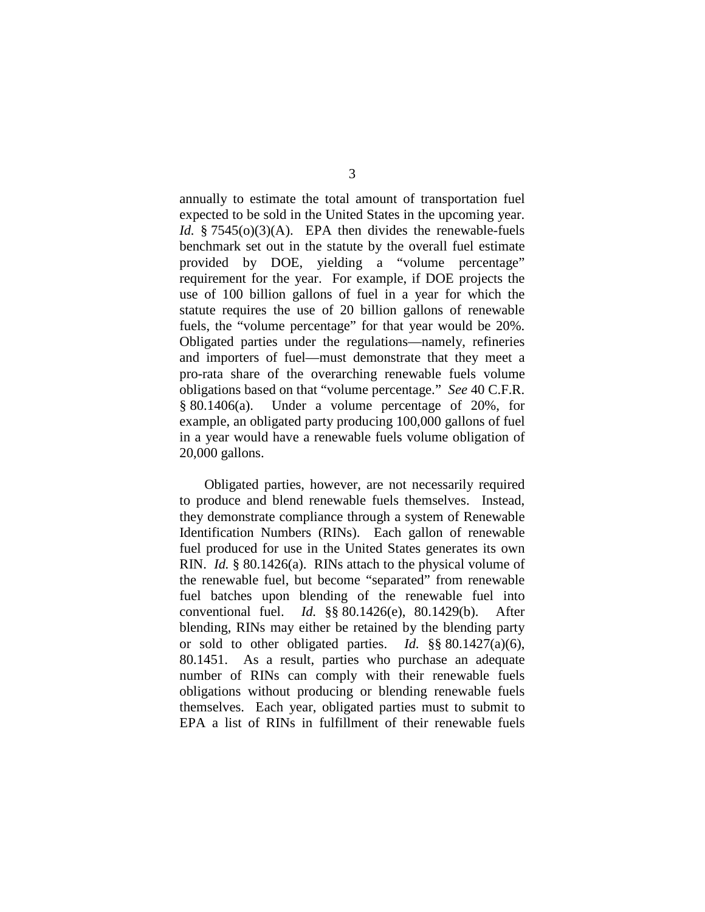annually to estimate the total amount of transportation fuel expected to be sold in the United States in the upcoming year. *Id.* § 7545(o)(3)(A). EPA then divides the renewable-fuels benchmark set out in the statute by the overall fuel estimate provided by DOE, yielding a "volume percentage" requirement for the year. For example, if DOE projects the use of 100 billion gallons of fuel in a year for which the statute requires the use of 20 billion gallons of renewable fuels, the "volume percentage" for that year would be 20%. Obligated parties under the regulations—namely, refineries and importers of fuel—must demonstrate that they meet a pro-rata share of the overarching renewable fuels volume obligations based on that "volume percentage." *See* 40 C.F.R. § 80.1406(a). Under a volume percentage of 20%, for example, an obligated party producing 100,000 gallons of fuel in a year would have a renewable fuels volume obligation of 20,000 gallons.

Obligated parties, however, are not necessarily required to produce and blend renewable fuels themselves. Instead, they demonstrate compliance through a system of Renewable Identification Numbers (RINs). Each gallon of renewable fuel produced for use in the United States generates its own RIN. *Id.* § 80.1426(a). RINs attach to the physical volume of the renewable fuel, but become "separated" from renewable fuel batches upon blending of the renewable fuel into conventional fuel. *Id.* §§ 80.1426(e), 80.1429(b). After blending, RINs may either be retained by the blending party or sold to other obligated parties. *Id.* §§ 80.1427(a)(6), 80.1451. As a result, parties who purchase an adequate number of RINs can comply with their renewable fuels obligations without producing or blending renewable fuels themselves. Each year, obligated parties must to submit to EPA a list of RINs in fulfillment of their renewable fuels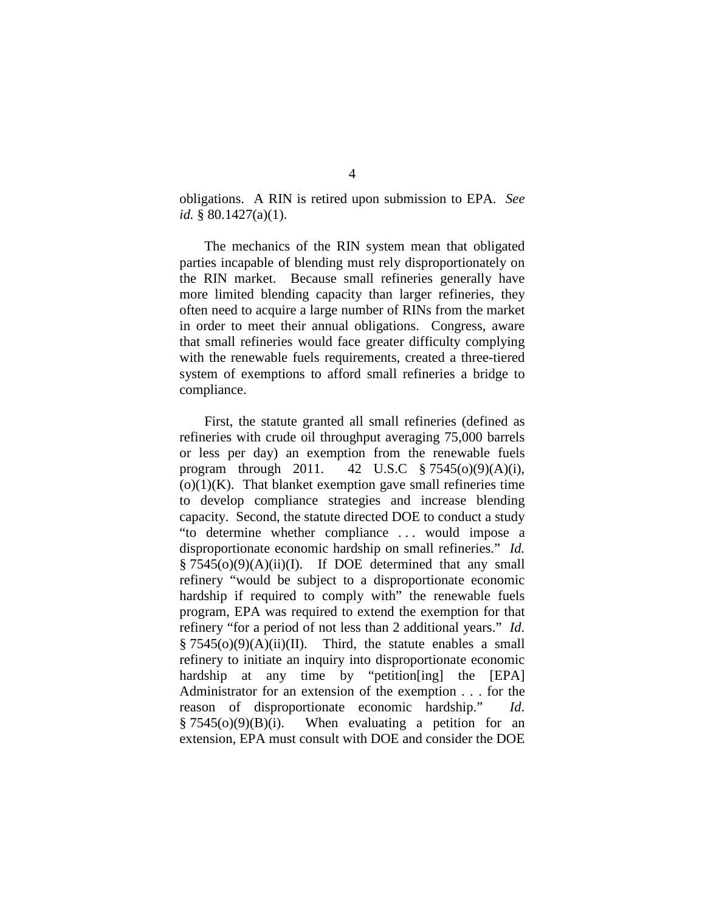obligations. A RIN is retired upon submission to EPA. *See id.* § 80.1427(a)(1).

The mechanics of the RIN system mean that obligated parties incapable of blending must rely disproportionately on the RIN market. Because small refineries generally have more limited blending capacity than larger refineries, they often need to acquire a large number of RINs from the market in order to meet their annual obligations. Congress, aware that small refineries would face greater difficulty complying with the renewable fuels requirements, created a three-tiered system of exemptions to afford small refineries a bridge to compliance.

First, the statute granted all small refineries (defined as refineries with crude oil throughput averaging 75,000 barrels or less per day) an exemption from the renewable fuels program through 2011. 42 U.S.C § 7545(o)(9)(A)(i),  $(o)(1)(K)$ . That blanket exemption gave small refineries time to develop compliance strategies and increase blending capacity. Second, the statute directed DOE to conduct a study "to determine whether compliance . . . would impose a disproportionate economic hardship on small refineries." *Id.*  $§ 7545(0)(9)(A)(ii)(I)$ . If DOE determined that any small refinery "would be subject to a disproportionate economic hardship if required to comply with" the renewable fuels program, EPA was required to extend the exemption for that refinery "for a period of not less than 2 additional years." *Id*.  $\S 7545(0)(9)(A)(ii)(II)$ . Third, the statute enables a small refinery to initiate an inquiry into disproportionate economic hardship at any time by "petition [ing] the [EPA] Administrator for an extension of the exemption . . . for the reason of disproportionate economic hardship." *Id*.  $§ 7545(0)(9)(B)(i)$ . When evaluating a petition for an extension, EPA must consult with DOE and consider the DOE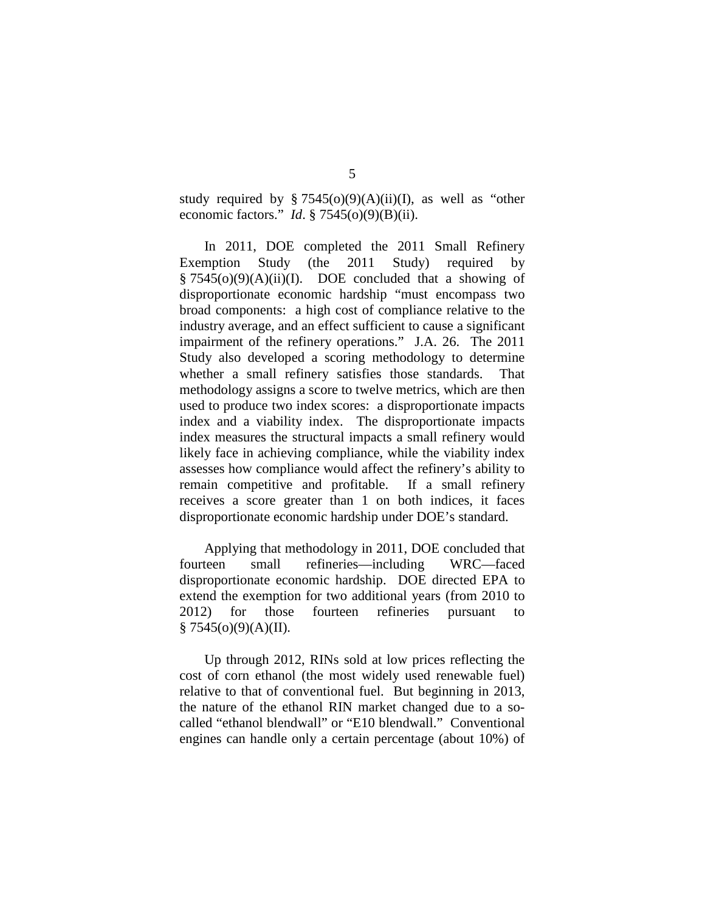study required by  $\S 7545(0)(9)(A)(ii)(I)$ , as well as "other economic factors." *Id*. § 7545(o)(9)(B)(ii).

In 2011, DOE completed the 2011 Small Refinery Exemption Study (the 2011 Study) required by  $§ 7545(0)(9)(A)(ii)(I)$ . DOE concluded that a showing of disproportionate economic hardship "must encompass two broad components: a high cost of compliance relative to the industry average, and an effect sufficient to cause a significant impairment of the refinery operations." J.A. 26. The 2011 Study also developed a scoring methodology to determine whether a small refinery satisfies those standards. That methodology assigns a score to twelve metrics, which are then used to produce two index scores: a disproportionate impacts index and a viability index. The disproportionate impacts index measures the structural impacts a small refinery would likely face in achieving compliance, while the viability index assesses how compliance would affect the refinery's ability to remain competitive and profitable. If a small refinery receives a score greater than 1 on both indices, it faces disproportionate economic hardship under DOE's standard.

Applying that methodology in 2011, DOE concluded that fourteen small refineries—including WRC—faced disproportionate economic hardship. DOE directed EPA to extend the exemption for two additional years (from 2010 to 2012) for those fourteen refineries pursuant to  $§ 7545(0)(9)(A)(II).$ 

Up through 2012, RINs sold at low prices reflecting the cost of corn ethanol (the most widely used renewable fuel) relative to that of conventional fuel. But beginning in 2013, the nature of the ethanol RIN market changed due to a socalled "ethanol blendwall" or "E10 blendwall." Conventional engines can handle only a certain percentage (about 10%) of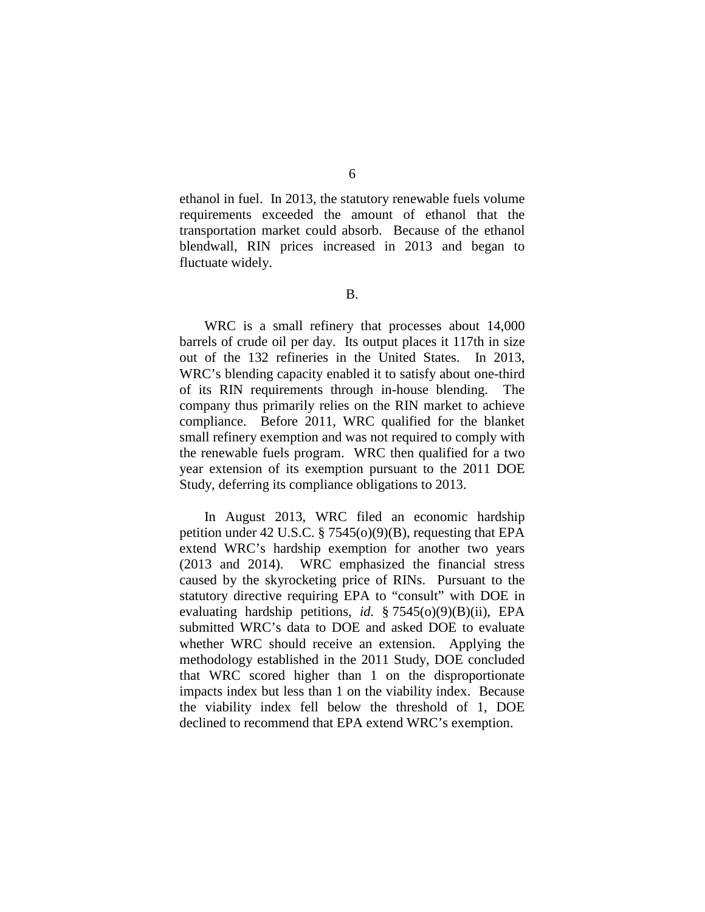ethanol in fuel. In 2013, the statutory renewable fuels volume requirements exceeded the amount of ethanol that the transportation market could absorb. Because of the ethanol blendwall, RIN prices increased in 2013 and began to fluctuate widely.

B.

WRC is a small refinery that processes about 14,000 barrels of crude oil per day. Its output places it 117th in size out of the 132 refineries in the United States. In 2013, WRC's blending capacity enabled it to satisfy about one-third of its RIN requirements through in-house blending. The company thus primarily relies on the RIN market to achieve compliance. Before 2011, WRC qualified for the blanket small refinery exemption and was not required to comply with the renewable fuels program. WRC then qualified for a two year extension of its exemption pursuant to the 2011 DOE Study, deferring its compliance obligations to 2013.

In August 2013, WRC filed an economic hardship petition under 42 U.S.C. § 7545(o)(9)(B), requesting that EPA extend WRC's hardship exemption for another two years (2013 and 2014). WRC emphasized the financial stress caused by the skyrocketing price of RINs. Pursuant to the statutory directive requiring EPA to "consult" with DOE in evaluating hardship petitions, *id.* § 7545(o)(9)(B)(ii), EPA submitted WRC's data to DOE and asked DOE to evaluate whether WRC should receive an extension. Applying the methodology established in the 2011 Study, DOE concluded that WRC scored higher than 1 on the disproportionate impacts index but less than 1 on the viability index. Because the viability index fell below the threshold of 1, DOE declined to recommend that EPA extend WRC's exemption.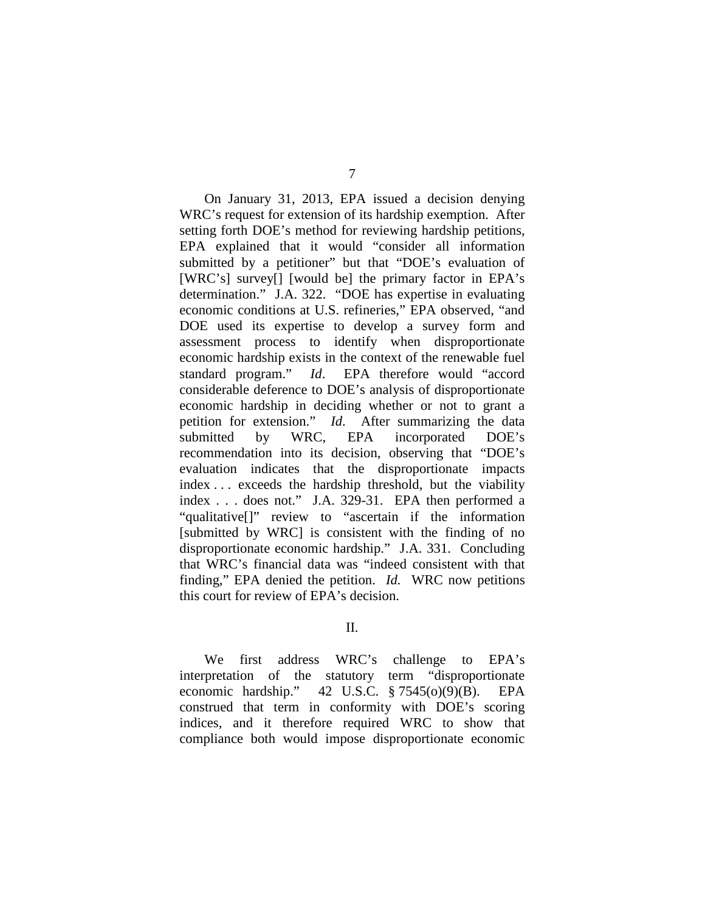On January 31, 2013, EPA issued a decision denying WRC's request for extension of its hardship exemption. After setting forth DOE's method for reviewing hardship petitions, EPA explained that it would "consider all information submitted by a petitioner" but that "DOE's evaluation of [WRC's] survey[] [would be] the primary factor in EPA's determination." J.A. 322. "DOE has expertise in evaluating economic conditions at U.S. refineries," EPA observed, "and DOE used its expertise to develop a survey form and assessment process to identify when disproportionate economic hardship exists in the context of the renewable fuel standard program." *Id*. EPA therefore would "accord considerable deference to DOE's analysis of disproportionate economic hardship in deciding whether or not to grant a petition for extension." *Id*. After summarizing the data submitted by WRC, EPA incorporated DOE's recommendation into its decision, observing that "DOE's evaluation indicates that the disproportionate impacts index . . . exceeds the hardship threshold, but the viability index . . . does not." J.A. 329-31. EPA then performed a "qualitative[]" review to "ascertain if the information [submitted by WRC] is consistent with the finding of no disproportionate economic hardship." J.A. 331. Concluding that WRC's financial data was "indeed consistent with that finding," EPA denied the petition. *Id.* WRC now petitions this court for review of EPA's decision.

II.

We first address WRC's challenge to EPA's interpretation of the statutory term "disproportionate economic hardship." 42 U.S.C. § 7545(o)(9)(B). EPA construed that term in conformity with DOE's scoring indices, and it therefore required WRC to show that compliance both would impose disproportionate economic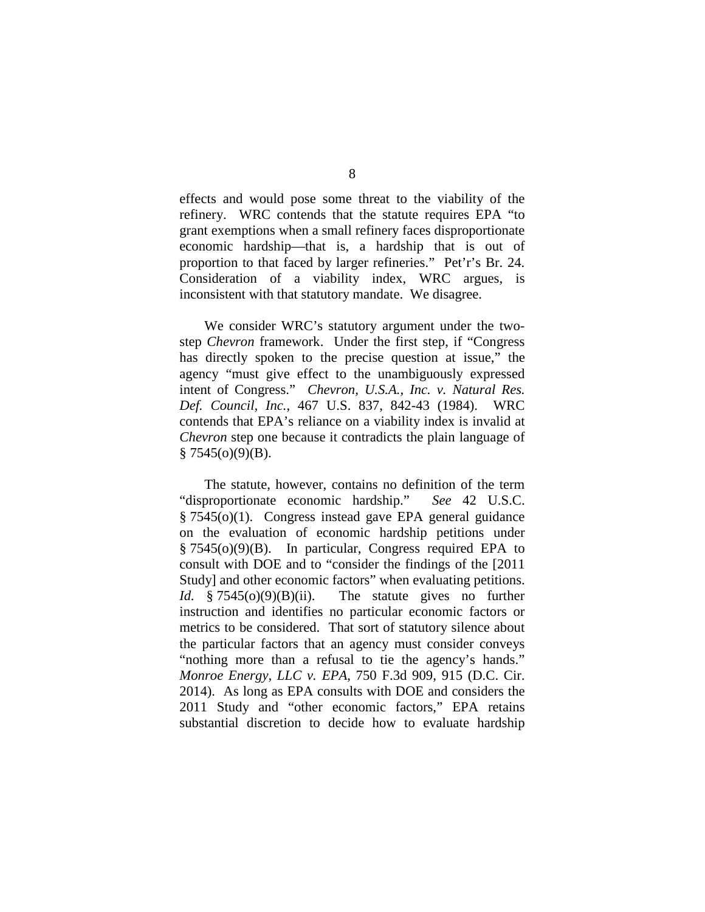effects and would pose some threat to the viability of the refinery. WRC contends that the statute requires EPA "to grant exemptions when a small refinery faces disproportionate economic hardship—that is, a hardship that is out of proportion to that faced by larger refineries." Pet'r's Br. 24. Consideration of a viability index, WRC argues, is inconsistent with that statutory mandate. We disagree.

We consider WRC's statutory argument under the twostep *Chevron* framework. Under the first step, if "Congress has directly spoken to the precise question at issue," the agency "must give effect to the unambiguously expressed intent of Congress." *Chevron, U.S.A., Inc. v. Natural Res. Def. Council, Inc.*, 467 U.S. 837, 842-43 (1984). WRC contends that EPA's reliance on a viability index is invalid at *Chevron* step one because it contradicts the plain language of  $§ 7545(0)(9)(B).$ 

The statute, however, contains no definition of the term "disproportionate economic hardship." *See* 42 U.S.C. § 7545(o)(1). Congress instead gave EPA general guidance on the evaluation of economic hardship petitions under § 7545(o)(9)(B). In particular, Congress required EPA to consult with DOE and to "consider the findings of the [2011 Study] and other economic factors" when evaluating petitions. *Id.* § 7545(o)(9)(B)(ii). The statute gives no further instruction and identifies no particular economic factors or metrics to be considered. That sort of statutory silence about the particular factors that an agency must consider conveys "nothing more than a refusal to tie the agency's hands." *Monroe Energy, LLC v. EPA*, 750 F.3d 909, 915 (D.C. Cir. 2014). As long as EPA consults with DOE and considers the 2011 Study and "other economic factors," EPA retains substantial discretion to decide how to evaluate hardship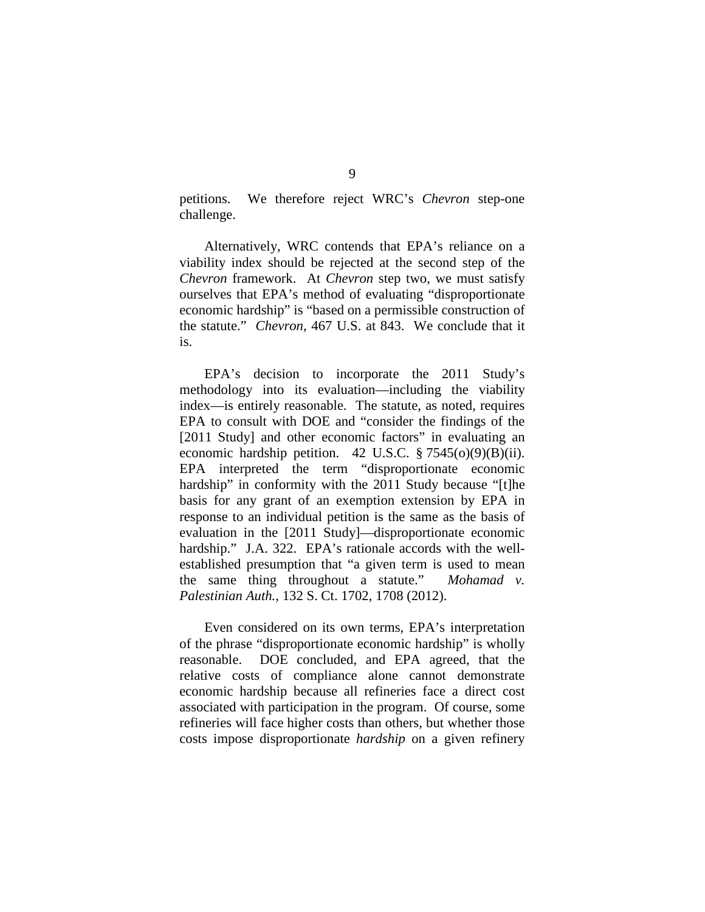petitions. We therefore reject WRC's *Chevron* step-one challenge.

Alternatively, WRC contends that EPA's reliance on a viability index should be rejected at the second step of the *Chevron* framework. At *Chevron* step two, we must satisfy ourselves that EPA's method of evaluating "disproportionate economic hardship" is "based on a permissible construction of the statute." *Chevron*, 467 U.S. at 843. We conclude that it is.

EPA's decision to incorporate the 2011 Study's methodology into its evaluation—including the viability index—is entirely reasonable. The statute, as noted, requires EPA to consult with DOE and "consider the findings of the [2011 Study] and other economic factors" in evaluating an economic hardship petition. 42 U.S.C.  $\S 7545(0)(9)(B)(ii)$ . EPA interpreted the term "disproportionate economic hardship" in conformity with the 2011 Study because "[t]he basis for any grant of an exemption extension by EPA in response to an individual petition is the same as the basis of evaluation in the [2011 Study]—disproportionate economic hardship." J.A. 322. EPA's rationale accords with the wellestablished presumption that "a given term is used to mean the same thing throughout a statute." *Mohamad v. Palestinian Auth.*, 132 S. Ct. 1702, 1708 (2012).

Even considered on its own terms, EPA's interpretation of the phrase "disproportionate economic hardship" is wholly reasonable. DOE concluded, and EPA agreed, that the relative costs of compliance alone cannot demonstrate economic hardship because all refineries face a direct cost associated with participation in the program. Of course, some refineries will face higher costs than others, but whether those costs impose disproportionate *hardship* on a given refinery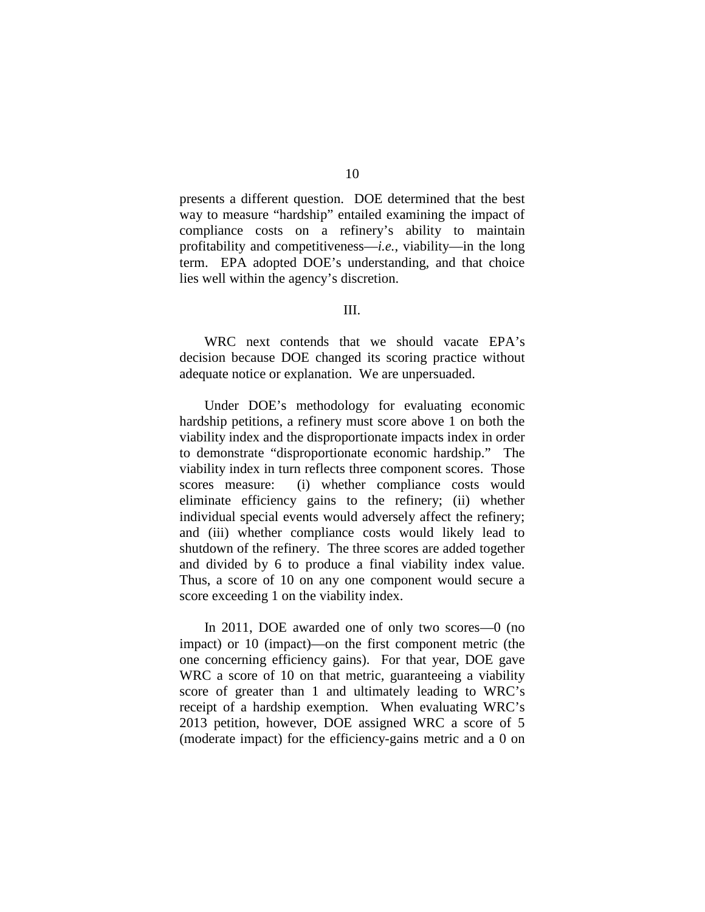presents a different question. DOE determined that the best way to measure "hardship" entailed examining the impact of compliance costs on a refinery's ability to maintain profitability and competitiveness—*i.e.*, viability—in the long term. EPA adopted DOE's understanding, and that choice lies well within the agency's discretion.

### III.

WRC next contends that we should vacate EPA's decision because DOE changed its scoring practice without adequate notice or explanation. We are unpersuaded.

Under DOE's methodology for evaluating economic hardship petitions, a refinery must score above 1 on both the viability index and the disproportionate impacts index in order to demonstrate "disproportionate economic hardship." The viability index in turn reflects three component scores. Those scores measure: (i) whether compliance costs would eliminate efficiency gains to the refinery; (ii) whether individual special events would adversely affect the refinery; and (iii) whether compliance costs would likely lead to shutdown of the refinery. The three scores are added together and divided by 6 to produce a final viability index value. Thus, a score of 10 on any one component would secure a score exceeding 1 on the viability index.

In 2011, DOE awarded one of only two scores—0 (no impact) or 10 (impact)—on the first component metric (the one concerning efficiency gains). For that year, DOE gave WRC a score of 10 on that metric, guaranteeing a viability score of greater than 1 and ultimately leading to WRC's receipt of a hardship exemption. When evaluating WRC's 2013 petition, however, DOE assigned WRC a score of 5 (moderate impact) for the efficiency-gains metric and a 0 on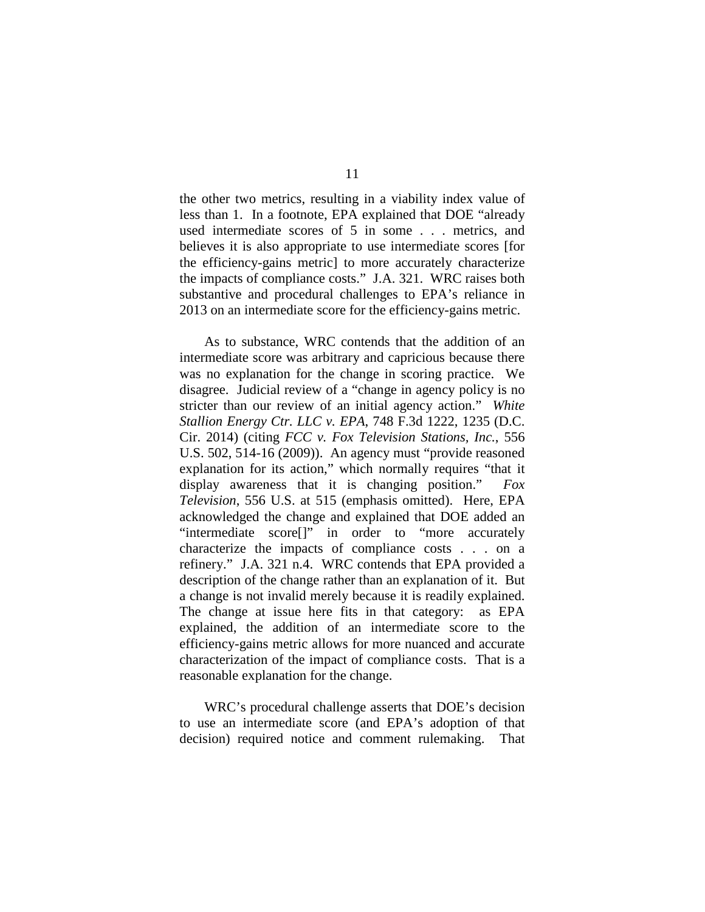the other two metrics, resulting in a viability index value of less than 1. In a footnote, EPA explained that DOE "already used intermediate scores of 5 in some . . . metrics, and believes it is also appropriate to use intermediate scores [for the efficiency-gains metric] to more accurately characterize the impacts of compliance costs." J.A. 321. WRC raises both substantive and procedural challenges to EPA's reliance in 2013 on an intermediate score for the efficiency-gains metric.

As to substance, WRC contends that the addition of an intermediate score was arbitrary and capricious because there was no explanation for the change in scoring practice. We disagree. Judicial review of a "change in agency policy is no stricter than our review of an initial agency action." *White Stallion Energy Ctr. LLC v. EPA*, 748 F.3d 1222, 1235 (D.C. Cir. 2014) (citing *FCC v. Fox Television Stations, Inc.*, 556 U.S. 502, 514-16 (2009)). An agency must "provide reasoned explanation for its action," which normally requires "that it display awareness that it is changing position." *Fox Television*, 556 U.S. at 515 (emphasis omitted). Here, EPA acknowledged the change and explained that DOE added an "intermediate score<sup>[]"</sup> in order to "more accurately" characterize the impacts of compliance costs . . . on a refinery." J.A. 321 n.4. WRC contends that EPA provided a description of the change rather than an explanation of it. But a change is not invalid merely because it is readily explained. The change at issue here fits in that category: as EPA explained, the addition of an intermediate score to the efficiency-gains metric allows for more nuanced and accurate characterization of the impact of compliance costs. That is a reasonable explanation for the change.

WRC's procedural challenge asserts that DOE's decision to use an intermediate score (and EPA's adoption of that decision) required notice and comment rulemaking. That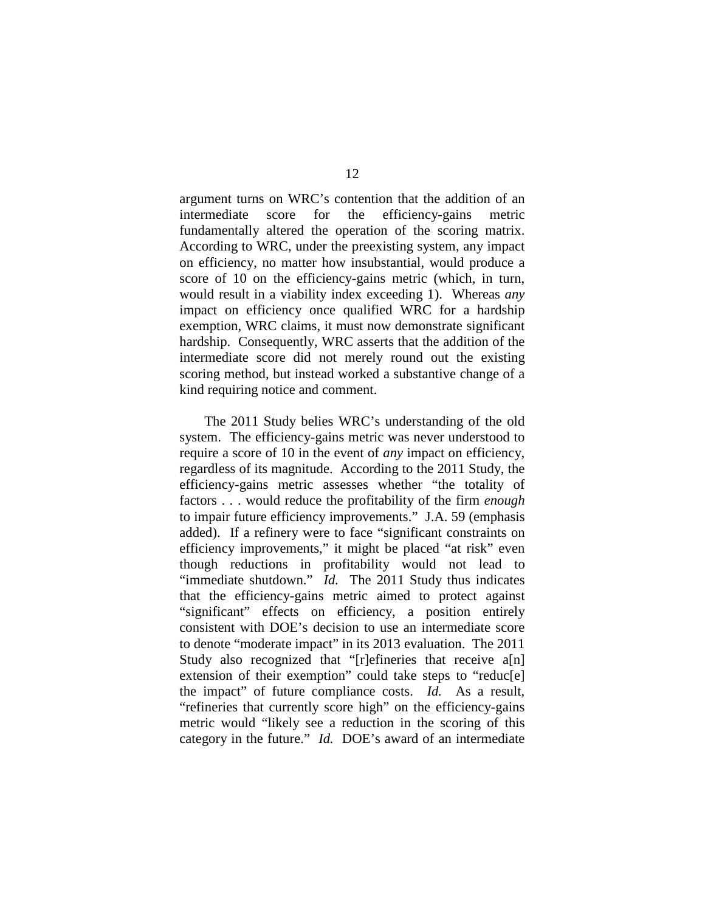argument turns on WRC's contention that the addition of an intermediate score for the efficiency-gains metric fundamentally altered the operation of the scoring matrix. According to WRC, under the preexisting system, any impact on efficiency, no matter how insubstantial, would produce a score of 10 on the efficiency-gains metric (which, in turn, would result in a viability index exceeding 1). Whereas *any*  impact on efficiency once qualified WRC for a hardship exemption, WRC claims, it must now demonstrate significant hardship. Consequently, WRC asserts that the addition of the intermediate score did not merely round out the existing scoring method, but instead worked a substantive change of a kind requiring notice and comment.

The 2011 Study belies WRC's understanding of the old system. The efficiency-gains metric was never understood to require a score of 10 in the event of *any* impact on efficiency, regardless of its magnitude. According to the 2011 Study, the efficiency-gains metric assesses whether "the totality of factors . . . would reduce the profitability of the firm *enough* to impair future efficiency improvements." J.A. 59 (emphasis added). If a refinery were to face "significant constraints on efficiency improvements," it might be placed "at risk" even though reductions in profitability would not lead to "immediate shutdown." *Id.* The 2011 Study thus indicates that the efficiency-gains metric aimed to protect against "significant" effects on efficiency, a position entirely consistent with DOE's decision to use an intermediate score to denote "moderate impact" in its 2013 evaluation. The 2011 Study also recognized that "[r]efineries that receive a[n] extension of their exemption" could take steps to "reduc[e] the impact" of future compliance costs. *Id.* As a result, "refineries that currently score high" on the efficiency-gains metric would "likely see a reduction in the scoring of this category in the future." *Id.* DOE's award of an intermediate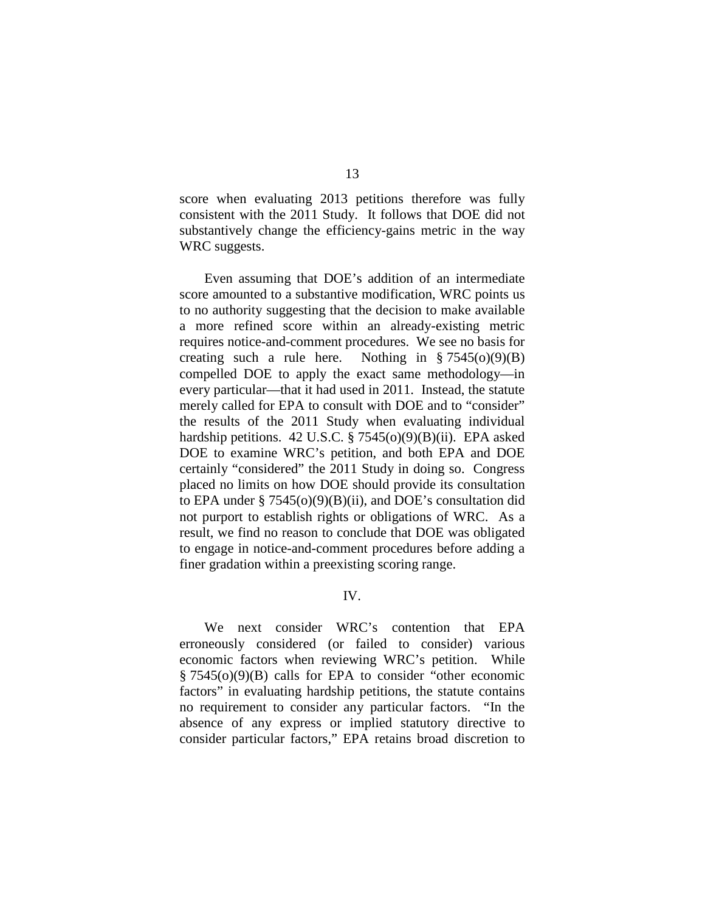score when evaluating 2013 petitions therefore was fully consistent with the 2011 Study. It follows that DOE did not substantively change the efficiency-gains metric in the way WRC suggests.

Even assuming that DOE's addition of an intermediate score amounted to a substantive modification, WRC points us to no authority suggesting that the decision to make available a more refined score within an already-existing metric requires notice-and-comment procedures. We see no basis for creating such a rule here. Nothing in  $\S 7545(0)(9)(B)$ compelled DOE to apply the exact same methodology—in every particular—that it had used in 2011. Instead, the statute merely called for EPA to consult with DOE and to "consider" the results of the 2011 Study when evaluating individual hardship petitions. 42 U.S.C. § 7545(o)(9)(B)(ii). EPA asked DOE to examine WRC's petition, and both EPA and DOE certainly "considered" the 2011 Study in doing so. Congress placed no limits on how DOE should provide its consultation to EPA under  $\S 7545(0)(9)(B)(ii)$ , and DOE's consultation did not purport to establish rights or obligations of WRC. As a result, we find no reason to conclude that DOE was obligated to engage in notice-and-comment procedures before adding a finer gradation within a preexisting scoring range.

IV.

We next consider WRC's contention that EPA erroneously considered (or failed to consider) various economic factors when reviewing WRC's petition. While § 7545(o)(9)(B) calls for EPA to consider "other economic factors" in evaluating hardship petitions, the statute contains no requirement to consider any particular factors. "In the absence of any express or implied statutory directive to consider particular factors," EPA retains broad discretion to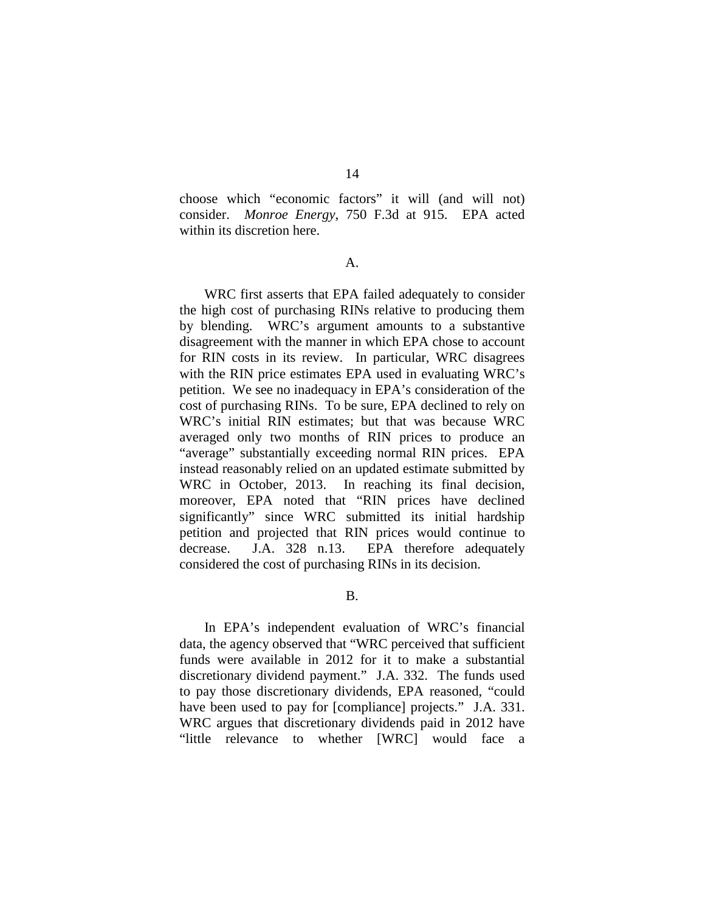14

choose which "economic factors" it will (and will not) consider. *Monroe Energy*, 750 F.3d at 915. EPA acted within its discretion here.

#### A.

WRC first asserts that EPA failed adequately to consider the high cost of purchasing RINs relative to producing them by blending. WRC's argument amounts to a substantive disagreement with the manner in which EPA chose to account for RIN costs in its review. In particular, WRC disagrees with the RIN price estimates EPA used in evaluating WRC's petition. We see no inadequacy in EPA's consideration of the cost of purchasing RINs. To be sure, EPA declined to rely on WRC's initial RIN estimates; but that was because WRC averaged only two months of RIN prices to produce an "average" substantially exceeding normal RIN prices. EPA instead reasonably relied on an updated estimate submitted by WRC in October, 2013. In reaching its final decision, moreover, EPA noted that "RIN prices have declined significantly" since WRC submitted its initial hardship petition and projected that RIN prices would continue to decrease. J.A. 328 n.13. EPA therefore adequately considered the cost of purchasing RINs in its decision.

B.

In EPA's independent evaluation of WRC's financial data, the agency observed that "WRC perceived that sufficient funds were available in 2012 for it to make a substantial discretionary dividend payment." J.A. 332. The funds used to pay those discretionary dividends, EPA reasoned, "could have been used to pay for [compliance] projects." J.A. 331. WRC argues that discretionary dividends paid in 2012 have "little relevance to whether [WRC] would face a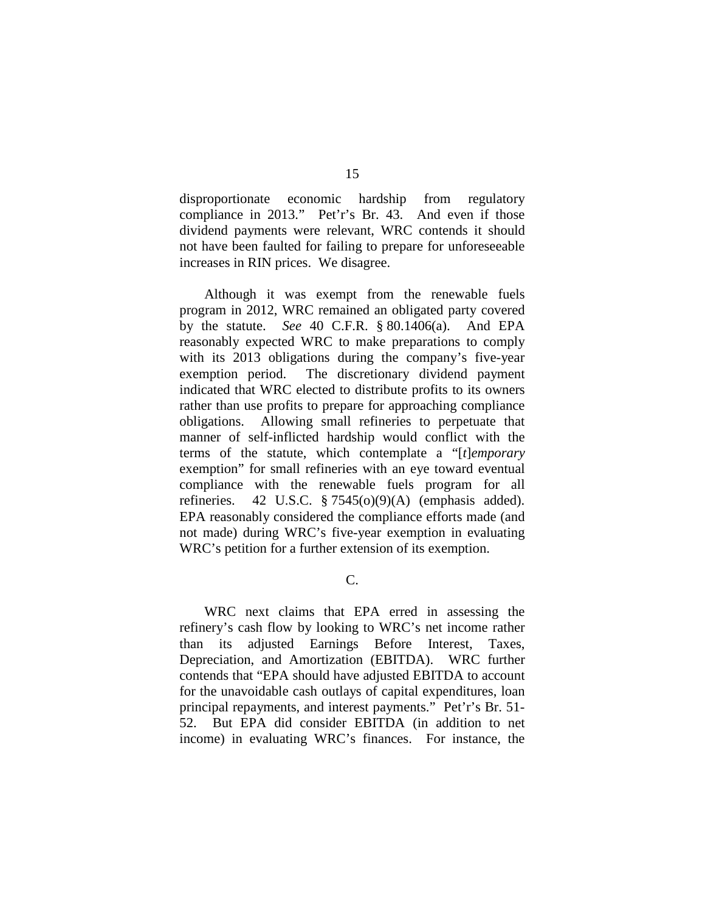disproportionate economic hardship from regulatory compliance in 2013." Pet'r's Br. 43. And even if those dividend payments were relevant, WRC contends it should not have been faulted for failing to prepare for unforeseeable increases in RIN prices. We disagree.

Although it was exempt from the renewable fuels program in 2012, WRC remained an obligated party covered by the statute. *See* 40 C.F.R. § 80.1406(a). And EPA reasonably expected WRC to make preparations to comply with its 2013 obligations during the company's five-year exemption period. The discretionary dividend payment indicated that WRC elected to distribute profits to its owners rather than use profits to prepare for approaching compliance obligations. Allowing small refineries to perpetuate that manner of self-inflicted hardship would conflict with the terms of the statute, which contemplate a "[*t*]*emporary* exemption" for small refineries with an eye toward eventual compliance with the renewable fuels program for all refineries. 42 U.S.C.  $\S 7545(0)(9)(A)$  (emphasis added). EPA reasonably considered the compliance efforts made (and not made) during WRC's five-year exemption in evaluating WRC's petition for a further extension of its exemption.

C.

WRC next claims that EPA erred in assessing the refinery's cash flow by looking to WRC's net income rather than its adjusted Earnings Before Interest, Taxes, Depreciation, and Amortization (EBITDA). WRC further contends that "EPA should have adjusted EBITDA to account for the unavoidable cash outlays of capital expenditures, loan principal repayments, and interest payments." Pet'r's Br. 51- 52. But EPA did consider EBITDA (in addition to net income) in evaluating WRC's finances. For instance, the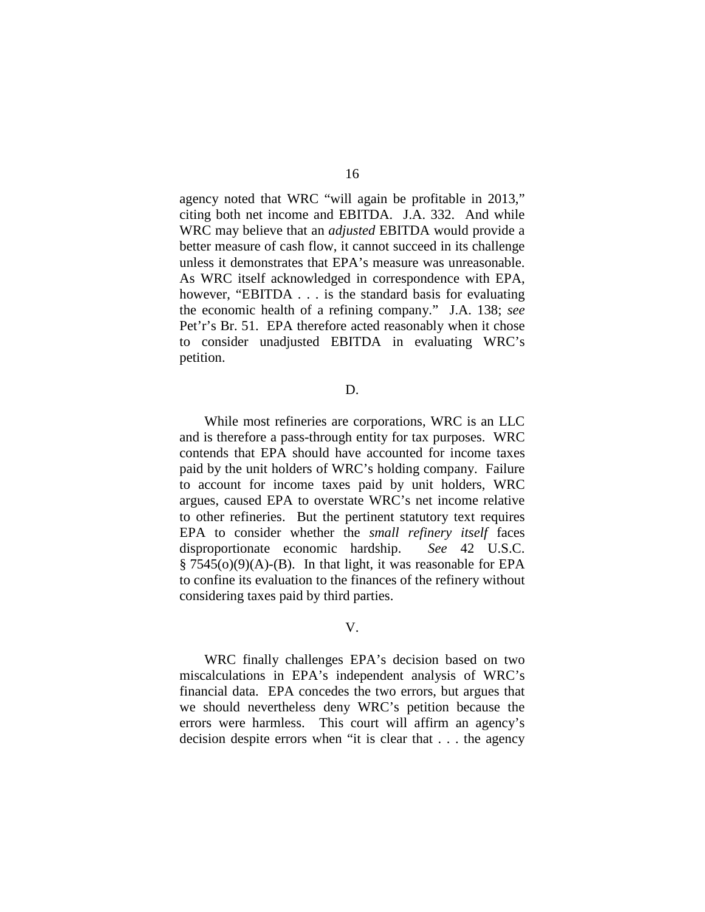agency noted that WRC "will again be profitable in 2013," citing both net income and EBITDA. J.A. 332. And while WRC may believe that an *adjusted* EBITDA would provide a better measure of cash flow, it cannot succeed in its challenge unless it demonstrates that EPA's measure was unreasonable. As WRC itself acknowledged in correspondence with EPA, however, "EBITDA . . . is the standard basis for evaluating the economic health of a refining company." J.A. 138; *see*  Pet'r's Br. 51. EPA therefore acted reasonably when it chose to consider unadjusted EBITDA in evaluating WRC's petition.

#### D.

While most refineries are corporations, WRC is an LLC and is therefore a pass-through entity for tax purposes. WRC contends that EPA should have accounted for income taxes paid by the unit holders of WRC's holding company. Failure to account for income taxes paid by unit holders, WRC argues, caused EPA to overstate WRC's net income relative to other refineries. But the pertinent statutory text requires EPA to consider whether the *small refinery itself* faces disproportionate economic hardship. *See* 42 U.S.C.  $\S 7545(0)(9)(A)$ -(B). In that light, it was reasonable for EPA to confine its evaluation to the finances of the refinery without considering taxes paid by third parties.

#### V.

WRC finally challenges EPA's decision based on two miscalculations in EPA's independent analysis of WRC's financial data. EPA concedes the two errors, but argues that we should nevertheless deny WRC's petition because the errors were harmless. This court will affirm an agency's decision despite errors when "it is clear that . . . the agency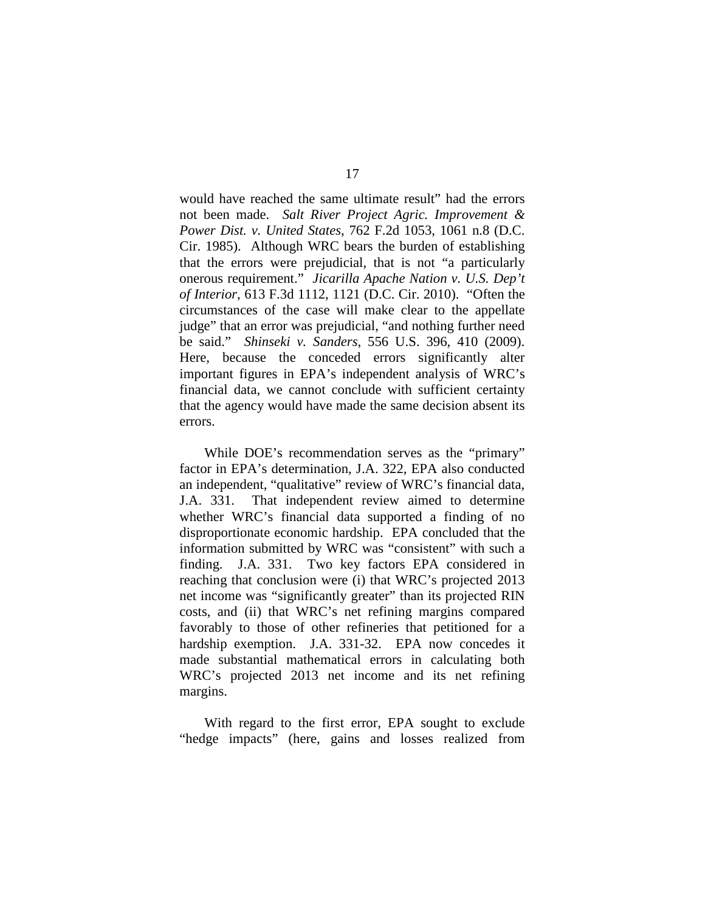would have reached the same ultimate result" had the errors not been made. *Salt River Project Agric. Improvement & Power Dist. v. United States*, 762 F.2d 1053, 1061 n.8 (D.C. Cir. 1985). Although WRC bears the burden of establishing that the errors were prejudicial, that is not "a particularly onerous requirement." *Jicarilla Apache Nation v. U.S. Dep't of Interior*, 613 F.3d 1112, 1121 (D.C. Cir. 2010). "Often the circumstances of the case will make clear to the appellate judge" that an error was prejudicial, "and nothing further need be said." *Shinseki v. Sanders*, 556 U.S. 396, 410 (2009). Here, because the conceded errors significantly alter important figures in EPA's independent analysis of WRC's financial data, we cannot conclude with sufficient certainty that the agency would have made the same decision absent its errors.

While DOE's recommendation serves as the "primary" factor in EPA's determination, J.A. 322, EPA also conducted an independent, "qualitative" review of WRC's financial data, J.A. 331. That independent review aimed to determine whether WRC's financial data supported a finding of no disproportionate economic hardship. EPA concluded that the information submitted by WRC was "consistent" with such a finding. J.A. 331. Two key factors EPA considered in reaching that conclusion were (i) that WRC's projected 2013 net income was "significantly greater" than its projected RIN costs, and (ii) that WRC's net refining margins compared favorably to those of other refineries that petitioned for a hardship exemption. J.A. 331-32. EPA now concedes it made substantial mathematical errors in calculating both WRC's projected 2013 net income and its net refining margins.

With regard to the first error, EPA sought to exclude "hedge impacts" (here, gains and losses realized from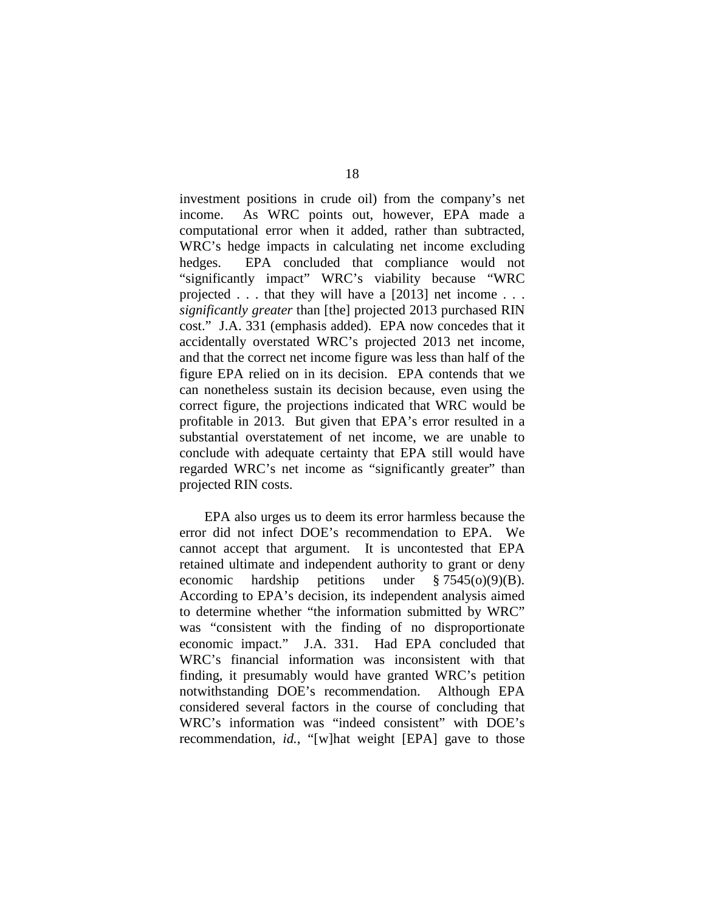investment positions in crude oil) from the company's net income. As WRC points out, however, EPA made a computational error when it added, rather than subtracted, WRC's hedge impacts in calculating net income excluding hedges. EPA concluded that compliance would not "significantly impact" WRC's viability because "WRC projected . . . that they will have a [2013] net income . . . *significantly greater* than [the] projected 2013 purchased RIN cost." J.A. 331 (emphasis added). EPA now concedes that it accidentally overstated WRC's projected 2013 net income, and that the correct net income figure was less than half of the figure EPA relied on in its decision. EPA contends that we can nonetheless sustain its decision because, even using the correct figure, the projections indicated that WRC would be profitable in 2013. But given that EPA's error resulted in a substantial overstatement of net income, we are unable to conclude with adequate certainty that EPA still would have regarded WRC's net income as "significantly greater" than projected RIN costs.

EPA also urges us to deem its error harmless because the error did not infect DOE's recommendation to EPA. We cannot accept that argument. It is uncontested that EPA retained ultimate and independent authority to grant or deny economic hardship petitions under § 7545(o)(9)(B). According to EPA's decision, its independent analysis aimed to determine whether "the information submitted by WRC" was "consistent with the finding of no disproportionate economic impact." J.A. 331. Had EPA concluded that WRC's financial information was inconsistent with that finding, it presumably would have granted WRC's petition notwithstanding DOE's recommendation. Although EPA considered several factors in the course of concluding that WRC's information was "indeed consistent" with DOE's recommendation, *id.*, "[w]hat weight [EPA] gave to those